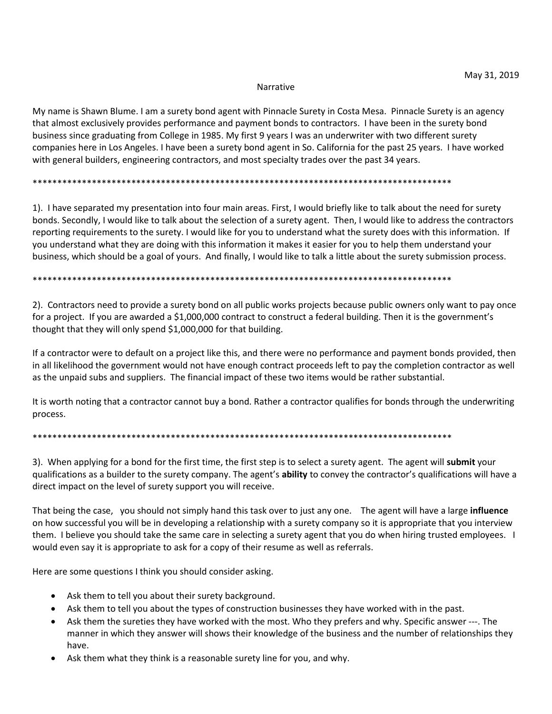## Narrative

My name is Shawn Blume. I am a surety bond agent with Pinnacle Surety in Costa Mesa. Pinnacle Surety is an agency that almost exclusively provides performance and payment bonds to contractors. I have been in the surety bond business since graduating from College in 1985. My first 9 years I was an underwriter with two different surety companies here in Los Angeles. I have been a surety bond agent in So. California for the past 25 years. I have worked with general builders, engineering contractors, and most specialty trades over the past 34 years.

# 

1). I have separated my presentation into four main areas. First, I would briefly like to talk about the need for surety bonds. Secondly, I would like to talk about the selection of a surety agent. Then, I would like to address the contractors reporting requirements to the surety. I would like for you to understand what the surety does with this information. If you understand what they are doing with this information it makes it easier for you to help them understand your business, which should be a goal of yours. And finally, I would like to talk a little about the surety submission process.

## 

2). Contractors need to provide a surety bond on all public works projects because public owners only want to pay once for a project. If you are awarded a \$1,000,000 contract to construct a federal building. Then it is the government's thought that they will only spend \$1,000,000 for that building.

If a contractor were to default on a project like this, and there were no performance and payment bonds provided, then in all likelihood the government would not have enough contract proceeds left to pay the completion contractor as well as the unpaid subs and suppliers. The financial impact of these two items would be rather substantial.

It is worth noting that a contractor cannot buy a bond. Rather a contractor qualifies for bonds through the underwriting process.

# 

3). When applying for a bond for the first time, the first step is to select a surety agent. The agent will submit your qualifications as a builder to the surety company. The agent's ability to convey the contractor's qualifications will have a direct impact on the level of surety support you will receive.

That being the case, you should not simply hand this task over to just any one. The agent will have a large influence on how successful you will be in developing a relationship with a surety company so it is appropriate that you interview them. I believe you should take the same care in selecting a surety agent that you do when hiring trusted employees. I would even say it is appropriate to ask for a copy of their resume as well as referrals.

Here are some questions I think you should consider asking.

- Ask them to tell you about their surety background.
- Ask them to tell you about the types of construction businesses they have worked with in the past.
- Ask them the sureties they have worked with the most. Who they prefers and why. Specific answer ---. The manner in which they answer will shows their knowledge of the business and the number of relationships they have.
- Ask them what they think is a reasonable surety line for you, and why.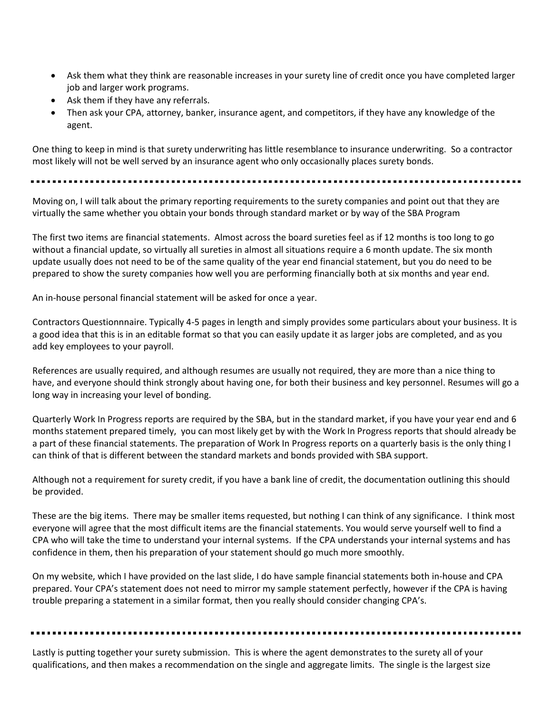- Ask them what they think are reasonable increases in your surety line of credit once you have completed larger job and larger work programs.
- Ask them if they have any referrals.
- Then ask your CPA, attorney, banker, insurance agent, and competitors, if they have any knowledge of the agent.

One thing to keep in mind is that surety underwriting has little resemblance to insurance underwriting. So a contractor most likely will not be well served by an insurance agent who only occasionally places surety bonds.

Moving on, I will talk about the primary reporting requirements to the surety companies and point out that they are virtually the same whether you obtain your bonds through standard market or by way of the SBA Program

The first two items are financial statements. Almost across the board sureties feel as if 12 months is too long to go without a financial update, so virtually all sureties in almost all situations require a 6 month update. The six month update usually does not need to be of the same quality of the year end financial statement, but you do need to be prepared to show the surety companies how well you are performing financially both at six months and year end.

An in-house personal financial statement will be asked for once a year.

Contractors Questionnnaire. Typically 4-5 pages in length and simply provides some particulars about your business. It is a good idea that this is in an editable format so that you can easily update it as larger jobs are completed, and as you add key employees to your payroll.

References are usually required, and although resumes are usually not required, they are more than a nice thing to have, and everyone should think strongly about having one, for both their business and key personnel. Resumes will go a long way in increasing your level of bonding.

Quarterly Work In Progress reports are required by the SBA, but in the standard market, if you have your year end and 6 months statement prepared timely, you can most likely get by with the Work In Progress reports that should already be a part of these financial statements. The preparation of Work In Progress reports on a quarterly basis is the only thing I can think of that is different between the standard markets and bonds provided with SBA support.

Although not a requirement for surety credit, if you have a bank line of credit, the documentation outlining this should be provided.

These are the big items. There may be smaller items requested, but nothing I can think of any significance. I think most everyone will agree that the most difficult items are the financial statements. You would serve yourself well to find a CPA who will take the time to understand your internal systems. If the CPA understands your internal systems and has confidence in them, then his preparation of your statement should go much more smoothly.

On my website, which I have provided on the last slide, I do have sample financial statements both in-house and CPA prepared. Your CPA's statement does not need to mirror my sample statement perfectly, however if the CPA is having trouble preparing a statement in a similar format, then you really should consider changing CPA's.

Lastly is putting together your surety submission. This is where the agent demonstrates to the surety all of your qualifications, and then makes a recommendation on the single and aggregate limits. The single is the largest size